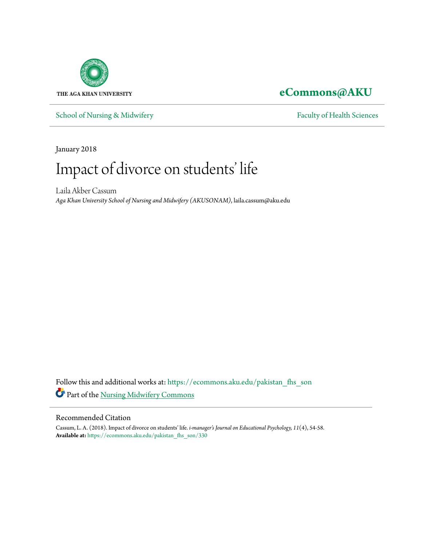

### **[eCommons@AKU](https://ecommons.aku.edu?utm_source=ecommons.aku.edu%2Fpakistan_fhs_son%2F330&utm_medium=PDF&utm_campaign=PDFCoverPages)**

[School of Nursing & Midwifery](https://ecommons.aku.edu/pakistan_fhs_son?utm_source=ecommons.aku.edu%2Fpakistan_fhs_son%2F330&utm_medium=PDF&utm_campaign=PDFCoverPages) [Faculty of Health Sciences](https://ecommons.aku.edu/pakistan_fhs?utm_source=ecommons.aku.edu%2Fpakistan_fhs_son%2F330&utm_medium=PDF&utm_campaign=PDFCoverPages)

January 2018

## Impact of divorce on students' life

Laila Akber Cassum *Aga Khan University School of Nursing and Midwifery (AKUSONAM)*, laila.cassum@aku.edu

Follow this and additional works at: [https://ecommons.aku.edu/pakistan\\_fhs\\_son](https://ecommons.aku.edu/pakistan_fhs_son?utm_source=ecommons.aku.edu%2Fpakistan_fhs_son%2F330&utm_medium=PDF&utm_campaign=PDFCoverPages) Part of the [Nursing Midwifery Commons](http://network.bepress.com/hgg/discipline/722?utm_source=ecommons.aku.edu%2Fpakistan_fhs_son%2F330&utm_medium=PDF&utm_campaign=PDFCoverPages)

### Recommended Citation

Cassum, L. A. (2018). Impact of divorce on students' life. *i-manager's Journal on Educational Psychology, 11*(4), 54-58. **Available at:** [https://ecommons.aku.edu/pakistan\\_fhs\\_son/330](https://ecommons.aku.edu/pakistan_fhs_son/330)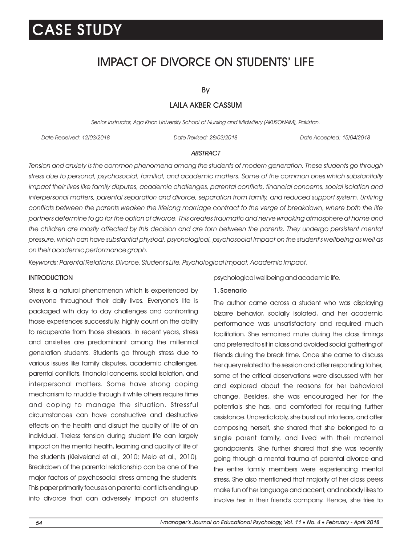## IMPACT OF DIVORCE ON STUDENTS' LIFE

By

### LAILA AKBER CASSUM

Senior Instructor, Aga Khan University School of Nursing and Midwifery (AKUSONAM), Pakistan.

Date Received: 12/03/2018 Date Revised: 28/03/2018 Date Accepted: 15/04/2018

### **ABSTRACT**

Tension and anxiety is the common phenomena among the students of modern generation. These students go through stress due to personal, psychosocial, familial, and academic matters. Some of the common ones which substantially impact their lives like family disputes, academic challenges, parental conflicts, financial concerns, social isolation and interpersonal matters, parental separation and divorce, separation from family, and reduced support system. Untiring conflicts between the parents weaken the lifelong marriage contract to the verge of breakdown, where both the life partners determine to go for the option of divorce. This creates traumatic and nerve wracking atmosphere at home and the children are mostly affected by this decision and are torn between the parents. They undergo persistent mental pressure, which can have substantial physical, psychological, psychosocial impact on the student's wellbeing as well as on their academic performance graph.

Keywords: Parental Relations, Divorce, Student's Life, Psychological Impact, Academic Impact.

### **INTRODUCTION**

Stress is a natural phenomenon which is experienced by everyone throughout their daily lives. Everyone's life is packaged with day to day challenges and confronting those experiences successfully, highly count on the ability to recuperate from those stressors. In recent years, stress and anxieties are predominant among the millennial generation students. Students go through stress due to various issues like family disputes, academic challenges, parental conflicts, financial concerns, social isolation, and interpersonal matters. Some have strong coping mechanism to muddle through it while others require time and coping to manage the situation. Stressful circumstances can have constructive and destructive effects on the health and disrupt the quality of life of an individual. Tireless tension during student life can largely impact on the mental health, learning and quality of life of the students (Kleiveland et al., 2010; Melo et al., 2010). Breakdown of the parental relationship can be one of the major factors of psychosocial stress among the students. This paper primarily focuses on parental conflicts ending up into divorce that can adversely impact on student's psychological wellbeing and academic life.

#### 1. Scenario

The author came across a student who was displaying bizarre behavior, socially isolated, and her academic performance was unsatisfactory and required much facilitation. She remained mute during the class timings and preferred to sit in class and avoided social gathering of friends during the break time. Once she came to discuss her query related to the session and after responding to her, some of the critical observations were discussed with her and explored about the reasons for her behavioral change. Besides, she was encouraged her for the potentials she has, and comforted for requiring further assistance. Unpredictably, she burst out into tears, and after composing herself, she shared that she belonged to a single parent family, and lived with their maternal grandparents. She further shared that she was recently going through a mental trauma of parental divorce and the entire family members were experiencing mental stress. She also mentioned that majority of her class peers make fun of her language and accent, and nobody likes to involve her in their friend's company. Hence, she tries to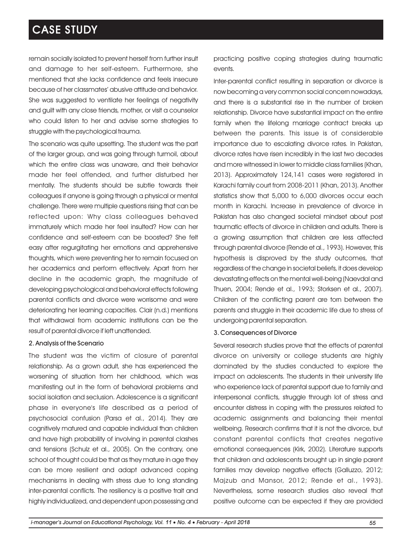remain socially isolated to prevent herself from further insult and damage to her self-esteem. Furthermore, she mentioned that she lacks confidence and feels insecure because of her classmates' abusive attitude and behavior. She was suggested to ventilate her feelings of negativity and guilt with any close friends, mother, or visit a counselor who could listen to her and advise some strategies to struggle with the psychological trauma.

The scenario was quite upsetting. The student was the part of the larger group, and was going through turmoil, about which the entire class was unaware, and their behavior made her feel offended, and further disturbed her mentally. The students should be subtle towards their colleagues if anyone is going through a physical or mental challenge. There were multiple questions rising that can be reflected upon: Why class colleagues behaved immaturely which made her feel insulted? How can her confidence and self-esteem can be boosted? She felt easy after regurgitating her emotions and apprehensive thoughts, which were preventing her to remain focused on her academics and perform effectively. Apart from her decline in the academic graph, the magnitude of developing psychological and behavioral effects following parental conflicts and divorce were worrisome and were deteriorating her learning capacities. Clair (n.d.) mentions that withdrawal from academic institutions can be the result of parental divorce if left unattended.

### 2. Analysis of the Scenario

The student was the victim of closure of parental relationship. As a grown adult, she has experienced the worsening of situation from her childhood, which was manifesting out in the form of behavioral problems and social isolation and seclusion. Adolescence is a significant phase in everyone's life described as a period of psychosocial confusion (Parsa et al., 2014). They are cognitively matured and capable individual than children and have high probability of involving in parental clashes and tensions (Schulz et al., 2005). On the contrary, one school of thought could be that as they mature in age they can be more resilient and adapt advanced coping mechanisms in dealing with stress due to long standing inter-parental conflicts. The resiliency is a positive trait and highly individualized, and dependent upon possessing and practicing positive coping strategies during traumatic events.

Inter-parental conflict resulting in separation or divorce is now becoming a very common social concern nowadays, and there is a substantial rise in the number of broken relationship. Divorce have substantial impact on the entire family when the lifelong marriage contract breaks up between the parents. This issue is of considerable importance due to escalating divorce rates. In Pakistan, divorce rates have risen incredibly in the last two decades and more witnessed in lower to middle class families (Khan, 2013). Approximately 124,141 cases were registered in Karachi family court from 2008-2011 (Khan, 2013). Another statistics show that 5,000 to 6,000 divorces occur each month in Karachi. Increase in prevalence of divorce in Pakistan has also changed societal mindset about post traumatic effects of divorce in children and adults. There is a growing assumption that children are less affected through parental divorce (Rende et al., 1993). However, this hypothesis is disproved by the study outcomes, that regardless of the change in societal beliefs, it does develop devastating effects on the mental well-being (Naevdal and Thuen, 2004; Rende et al., 1993; Storksen et al., 2007). Children of the conflicting parent are torn between the parents and struggle in their academic life due to stress of undergoing parental separation.

### 3. Consequences of Divorce

Several research studies prove that the effects of parental divorce on university or college students are highly dominated by the studies conducted to explore the impact on adolescents. The students in their university life who experience lack of parental support due to family and interpersonal conflicts, struggle through lot of stress and encounter distress in coping with the pressures related to academic assignments and balancing their mental wellbeing. Research confirms that it is not the divorce, but constant parental conflicts that creates negative emotional consequences (Kirk, 2002). Literature supports that children and adolescents brought up in single parent families may develop negative effects (Galluzzo, 2012; Majzub and Mansor, 2012; Rende et al., 1993). Nevertheless, some research studies also reveal that positive outcome can be expected if they are provided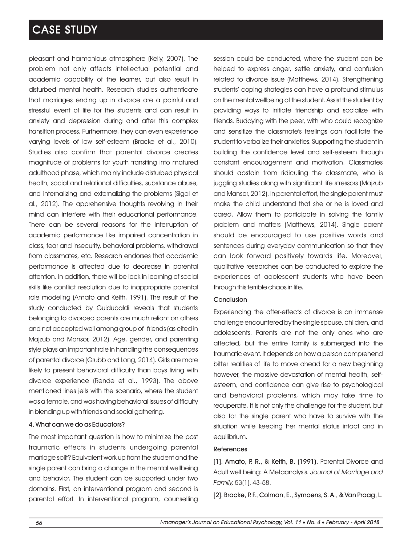pleasant and harmonious atmosphere (Kelly, 2007). The problem not only affects intellectual potential and academic capability of the learner, but also result in disturbed mental health. Research studies authenticate that marriages ending up in divorce are a painful and stressful event of life for the students and can result in anxiety and depression during and after this complex transition process. Furthermore, they can even experience varying levels of low self-esteem (Bracke et al., 2010). Studies also confirm that parental divorce creates magnitude of problems for youth transiting into matured adulthood phase, which mainly include disturbed physical health, social and relational difficulties, substance abuse, and internalizing and externalizing the problems (Sigal et al., 2012). The apprehensive thoughts revolving in their mind can interfere with their educational performance. There can be several reasons for the interruption of academic performance like impaired concentration in class, fear and insecurity, behavioral problems, withdrawal from classmates, etc. Research endorses that academic performance is affected due to decrease in parental attention. In addition, there will be lack in learning of social skills like conflict resolution due to inappropriate parental role modeling (Amato and Keith, 1991). The result of the study conducted by Guidubaldi reveals that students belonging to divorced parents are much reliant on others and not accepted well among group of friends (as cited in Majzub and Mansor, 2012). Age, gender, and parenting style plays an important role in handling the consequences of parental divorce (Grubb and Long, 2014). Girls are more likely to present behavioral difficulty than boys living with divorce experience (Rende et al., 1993). The above mentioned lines jells with the scenario, where the student was a female, and was having behavioral issues of difficulty in blending up with friends and social gathering.

### 4. What can we do as Educators?

The most important question is how to minimize the post traumatic effects in students undergoing parental marriage split? Equivalent work up from the student and the single parent can bring a change in the mental wellbeing and behavior. The student can be supported under two domains. First, an interventional program and second is parental effort. In interventional program, counselling session could be conducted, where the student can be helped to express anger, settle anxiety, and confusion related to divorce issue (Matthews, 2014). Strengthening students' coping strategies can have a profound stimulus on the mental wellbeing of the student. Assist the student by providing ways to initiate friendship and socialize with friends. Buddying with the peer, with who could recognize and sensitize the classmate's feelings can facilitate the student to verbalize their anxieties. Supporting the student in building the confidence level and self-esteem through constant encouragement and motivation. Classmates should abstain from ridiculing the classmate, who is juggling studies along with significant life stressors (Majzub and Mansor, 2012). In parental effort, the single parent must make the child understand that she or he is loved and cared. Allow them to participate in solving the family problem and matters (Matthews, 2014). Single parent should be encouraged to use positive words and sentences during everyday communication so that they can look forward positively towards life. Moreover, qualitative researches can be conducted to explore the experiences of adolescent students who have been through this terrible chaos in life.

#### **Conclusion**

Experiencing the after-effects of divorce is an immense challenge encountered by the single spouse, children, and adolescents. Parents are not the only ones who are affected, but the entire family is submerged into the traumatic event. It depends on how a person comprehend bitter realities of life to move ahead for a new beginning however, the massive devastation of mental health, selfesteem, and confidence can give rise to psychological and behavioral problems, which may take time to recuperate. It is not only the challenge for the student, but also for the single parent who have to survive with the situation while keeping her mental status intact and in equilibrium.

#### References

[1]. Amato, P. R., & Keith, B. (1991). Parental Divorce and Adult well being: A Metaanalysis. Journal of Marriage and Family, 53(1), 43-58.

[2]. Bracke, P. F., Colman, E., Symoens, S. A., & Van Praag, L.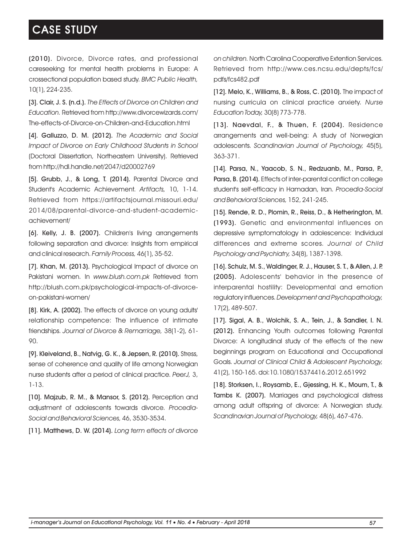(2010). Divorce, Divorce rates, and professional careseeking for mental health problems in Europe: A crossectional population based study. BMC Public Health, 10(1), 224-235.

[3]. Clair, J. S. (n.d.). The Effects of Divorce on Children and Education. Retrieved from http://www.divorcewizards.com/ The-effects-of-Divorce-on-Children-and-Education.html

[4]. Galluzzo, D. M. (2012). The Academic and Social Impact of Divorce on Early Childhood Students in School (Doctoral Dissertation, Northeastern University). Retrieved from http://hdl.handle.net/2047/d20002769

[5]. Grubb, J., & Long, T. (2014). Parental Divorce and Student's Academic Achievement. Artifacts, 10, 1-14. Retrieved from https://artifactsjournal.missouri.edu/ 2014/08/parental-divorce-and-student-academicachievement/

[6]. Kelly, J. B. (2007). Children's living arrangements following separation and divorce: Insights from empirical and clinical research. Family Process, 46(1), 35-52.

[7]. Khan, M. (2013). Psychological Impact of divorce on Pakistani women. In www.blush.com.pk Retrieved from http://blush.com.pk/psychological-impacts-of-divorceon-pakistani-women/

[8]. Kirk, A. (2002). The effects of divorce on young adults' relationship competence: The influence of intimate friendships. Journal of Divorce & Remarriage, 38(1-2), 61- 90.

[9]. Kleiveland, B., Natvig, G. K., & Jepsen, R. (2010). Stress, sense of coherence and quality of life among Norwegian nurse students after a period of clinical practice. PeerJ, 3, 1-13.

[10]. Majzub, R. M., & Mansor, S. (2012). Perception and adjustment of adolescents towards divorce. Procedia-Social and Behavioral Sciences, 46, 3530-3534.

[11]. Matthews, D. W. (2014). Long term effects of divorce

on children. North Carolina Cooperative Extention Services. Retrieved from http://www.ces.ncsu.edu/depts/fcs/ pdfs/fcs482.pdf

[12]. Melo, K., Williams, B., & Ross, C. (2010). The impact of nursing curricula on clinical practice anxiety. Nurse Education Today, 30(8) 773-778.

[13]. Naevdal, F., & Thuen, F. (2004). Residence arrangements and well-being: A study of Norwegian adolescents. Scandinavian Journal of Psychology, 45(5), 363-371.

[14]. Parsa, N., Yaacob, S. N., Redzuanb, M., Parsa, P., Parsa, B. (2014). Effects of inter-parental conflict on college student's self-efficacy in Hamadan, Iran. Procedia-Social and Behavioral Sciences, 152, 241-245.

[15]. Rende, R. D., Plomin, R., Reiss, D., & Hetherington, M. (1993). Genetic and environmental influences on depressive symptomatology in adolescence: Individual differences and extreme scores. Journal of Child Psychology and Psychiatry, 34(8), 1387-1398.

[16]. Schulz, M. S., Waldinger, R. J., Hauser, S. T., & Allen, J. P. (2005). Adolescents' behavior in the presence of interparental hostility: Developmental and emotion regulatory influences. Development and Psychopathology, 17(2), 489-507.

[17]. Sigal, A. B., Wolchik, S. A., Tein, J., & Sandler, I. N. (2012). Enhancing Youth outcomes following Parental Divorce: A longitudinal study of the effects of the new beginnings program on Educational and Occupational Goals. Journal of Clinical Child & Adolescent Psychology, 41(2), 150-165. doi:10.1080/15374416.2012.651992

[18]. Storksen, I., Roysamb, E., Gjessing, H. K., Moum, T., & Tambs K. (2007). Marriages and psychological distress among adult offspring of divorce: A Norwegian study. Scandinavian Journal of Psychology, 48(6), 467-476.